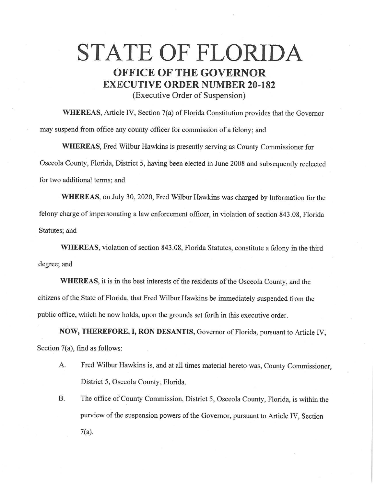# **STATE OF FLORIDA OFFICE OF THE GOVERNOR EXECUTIVE ORDER NUMBER 20-182**

(Executive Order of Suspension)

**WHEREAS,** Article IV, Section 7(a) of Florida Constitution provides that the Governor may suspend from office any county officer for commission of a felony; and

**WHEREAS,** Fred Wilbur Hawkins is presently serving as County Commissioner for Osceola County, Florida, District 5, having been elected in June 2008 and subsequently reelected for two additional terms; and

**WHEREAS,** on July 30, 2020, Fred Wilbur Hawkins was charged by Information for the felony charge of impersonating a law enforcement officer, in violation of section 843.08, Florida Statutes; and

**WHEREAS,** violation of section 843.08, Florida Statutes, constitute a felony in the third degree; and

**WHEREAS,** it is in the best interests of the residents of the Osceola County, and the citizens of the State of Florida, that Fred Wilbur Hawkins be immediately suspended from the public office, which he now holds, upon the grounds set forth in this executive order.

**NOW, THEREFORE, I, RON DESANTIS,** Governor of Florida, pursuant to Article IV, Section 7(a), find as follows:

- A. Fred Wilbur Hawkins is, and at all times material hereto was, County Commissioner, District 5, Osceola County, Florida.
- B. The office of County Commission, District 5, Osceola County, Florida, is within the purview of the suspension powers of the Governor, pursuant to Article IV, Section 7(a).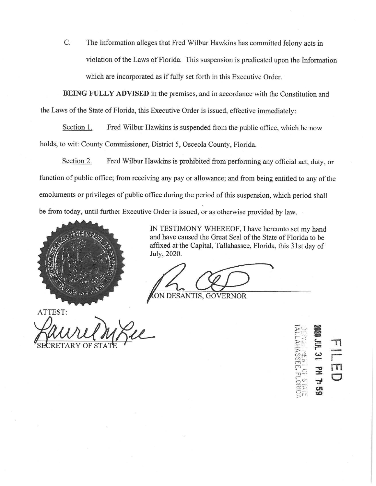C. The Information alleges that Fred Wilbur Hawkins has committed felony acts in violation of the Laws of Florida. This suspension is predicated upon the Information which are incorporated as if fully set forth in this Executive Order.

**BEING FULLY ADVISED** in the premises, and in accordance with the Constitution and the Laws of the State of Florida, this Executive Order is issued, effective immediately:

Section 1. Fred Wilbur Hawkins is suspended from the public office, which he now holds, to wit: County Commissioner, District 5, Osceola County, Florida.

Section 2. Fred Wilbur Hawkins is prohibited from performing any official act, duty, or function of public office; from receiving any pay or allowance; and from being entitled to any of the emoluments or privileges of public office during the period of this suspension, which period shall be from today, until further Executive Order is issued, or as otherwise provided by law.



IN TESTIMONY WHEREOF, I have hereunto set my hand and have caused the Great Seal of the State of Florida to be affixed at the Capital, Tallahassee, Florida, this 31st day of July, 2020.

ATTEST: ATTEST:<br>ATTEST:<br>PULLIUM PLL<br>SECRETARY OF STATE